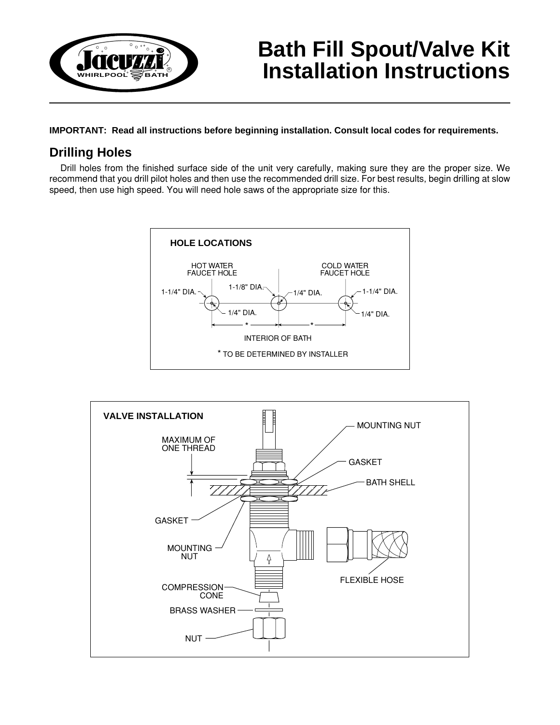

# **Bath Fill Spout/Valve Kit Installation Instructions**

**IMPORTANT: Read all instructions before beginning installation. Consult local codes for requirements.**

## **Drilling Holes**

Drill holes from the finished surface side of the unit very carefully, making sure they are the proper size. We recommend that you drill pilot holes and then use the recommended drill size. For best results, begin drilling at slow speed, then use high speed. You will need hole saws of the appropriate size for this.